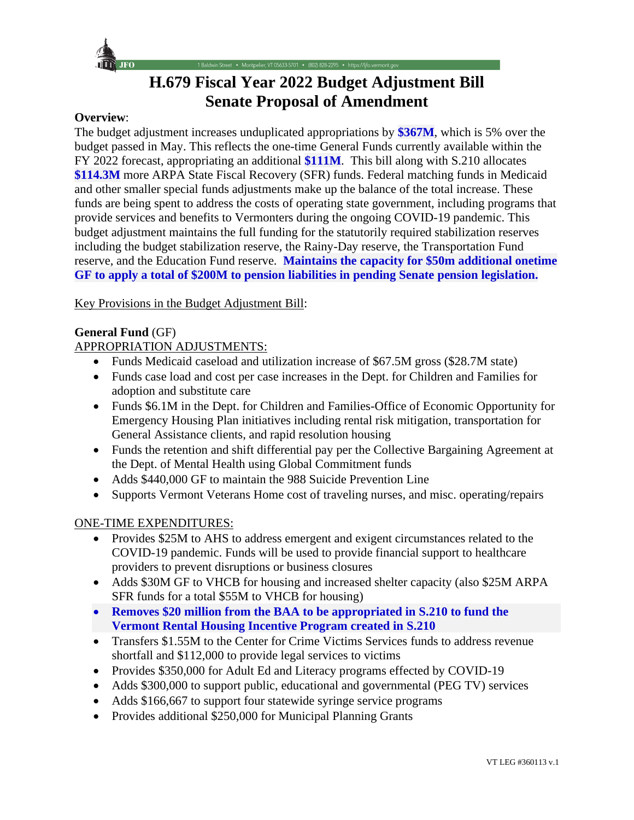

# **H.679 Fiscal Year 2022 Budget Adjustment Bill Senate Proposal of Amendment**

• Montpelier, VT 05633-5701 • (802) 828-2295 • https://ljfo.vermont.gov

#### **Overview**:

The budget adjustment increases unduplicated appropriations by **\$367M**, which is 5% over the budget passed in May. This reflects the one-time General Funds currently available within the FY 2022 forecast, appropriating an additional **\$111M**. This bill along with S.210 allocates **\$114.3M** more ARPA State Fiscal Recovery (SFR) funds. Federal matching funds in Medicaid and other smaller special funds adjustments make up the balance of the total increase. These funds are being spent to address the costs of operating state government, including programs that provide services and benefits to Vermonters during the ongoing COVID-19 pandemic. This budget adjustment maintains the full funding for the statutorily required stabilization reserves including the budget stabilization reserve, the Rainy-Day reserve, the Transportation Fund reserve, and the Education Fund reserve. **Maintains the capacity for \$50m additional onetime GF to apply a total of \$200M to pension liabilities in pending Senate pension legislation.**

Key Provisions in the Budget Adjustment Bill:

#### **General Fund** (GF)

### APPROPRIATION ADJUSTMENTS:

- Funds Medicaid caseload and utilization increase of \$67.5M gross (\$28.7M state)
- Funds case load and cost per case increases in the Dept. for Children and Families for adoption and substitute care
- Funds \$6.1M in the Dept. for Children and Families-Office of Economic Opportunity for Emergency Housing Plan initiatives including rental risk mitigation, transportation for General Assistance clients, and rapid resolution housing
- Funds the retention and shift differential pay per the Collective Bargaining Agreement at the Dept. of Mental Health using Global Commitment funds
- Adds \$440,000 GF to maintain the 988 Suicide Prevention Line
- Supports Vermont Veterans Home cost of traveling nurses, and misc. operating/repairs

#### ONE-TIME EXPENDITURES:

- Provides \$25M to AHS to address emergent and exigent circumstances related to the COVID-19 pandemic. Funds will be used to provide financial support to healthcare providers to prevent disruptions or business closures
- Adds \$30M GF to VHCB for housing and increased shelter capacity (also \$25M ARPA) SFR funds for a total \$55M to VHCB for housing)
- **Removes \$20 million from the BAA to be appropriated in S.210 to fund the Vermont Rental Housing Incentive Program created in S.210**
- Transfers \$1.55M to the Center for Crime Victims Services funds to address revenue shortfall and \$112,000 to provide legal services to victims
- Provides \$350,000 for Adult Ed and Literacy programs effected by COVID-19
- Adds \$300,000 to support public, educational and governmental (PEG TV) services
- Adds \$166,667 to support four statewide syringe service programs
- Provides additional \$250,000 for Municipal Planning Grants